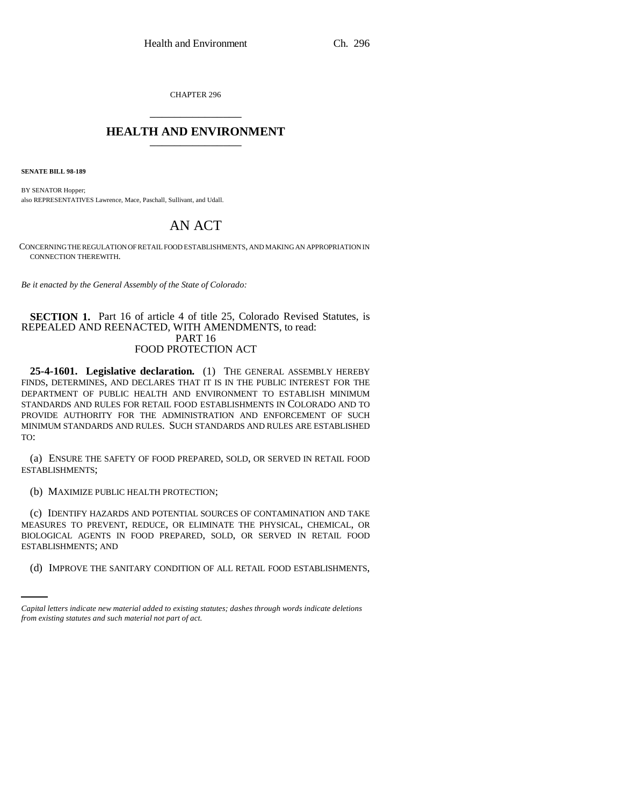CHAPTER 296 \_\_\_\_\_\_\_\_\_\_\_\_\_\_\_

## **HEALTH AND ENVIRONMENT** \_\_\_\_\_\_\_\_\_\_\_\_\_\_\_

**SENATE BILL 98-189**

BY SENATOR Hopper; also REPRESENTATIVES Lawrence, Mace, Paschall, Sullivant, and Udall.

# AN ACT

CONCERNING THE REGULATION OF RETAIL FOOD ESTABLISHMENTS, AND MAKING AN APPROPRIATION IN CONNECTION THEREWITH.

*Be it enacted by the General Assembly of the State of Colorado:*

### **SECTION 1.** Part 16 of article 4 of title 25, Colorado Revised Statutes, is REPEALED AND REENACTED, WITH AMENDMENTS, to read: PART 16 FOOD PROTECTION ACT

**25-4-1601. Legislative declaration.** (1) THE GENERAL ASSEMBLY HEREBY FINDS, DETERMINES, AND DECLARES THAT IT IS IN THE PUBLIC INTEREST FOR THE DEPARTMENT OF PUBLIC HEALTH AND ENVIRONMENT TO ESTABLISH MINIMUM STANDARDS AND RULES FOR RETAIL FOOD ESTABLISHMENTS IN COLORADO AND TO PROVIDE AUTHORITY FOR THE ADMINISTRATION AND ENFORCEMENT OF SUCH MINIMUM STANDARDS AND RULES. SUCH STANDARDS AND RULES ARE ESTABLISHED TO:

(a) ENSURE THE SAFETY OF FOOD PREPARED, SOLD, OR SERVED IN RETAIL FOOD ESTABLISHMENTS;

(b) MAXIMIZE PUBLIC HEALTH PROTECTION;

ESTABLISHMENTS; AND (c) IDENTIFY HAZARDS AND POTENTIAL SOURCES OF CONTAMINATION AND TAKE MEASURES TO PREVENT, REDUCE, OR ELIMINATE THE PHYSICAL, CHEMICAL, OR BIOLOGICAL AGENTS IN FOOD PREPARED, SOLD, OR SERVED IN RETAIL FOOD

(d) IMPROVE THE SANITARY CONDITION OF ALL RETAIL FOOD ESTABLISHMENTS,

*Capital letters indicate new material added to existing statutes; dashes through words indicate deletions from existing statutes and such material not part of act.*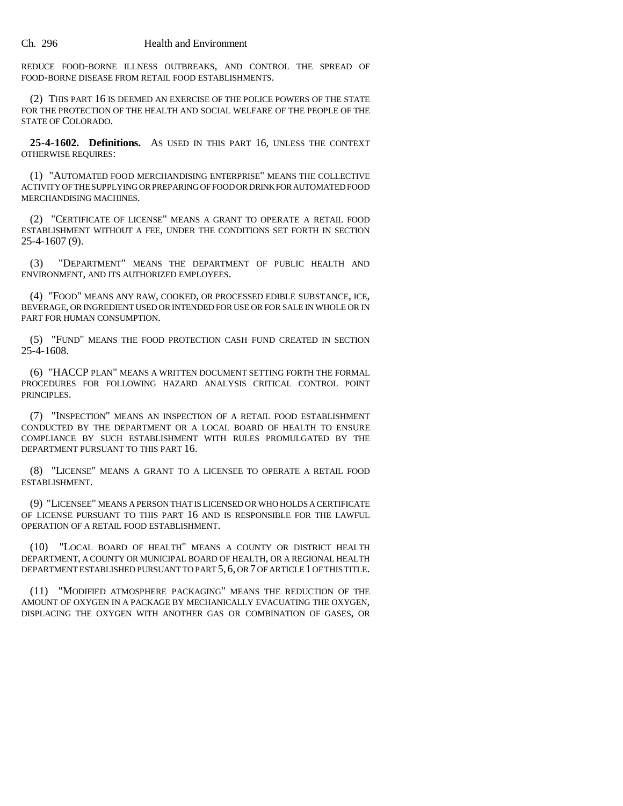REDUCE FOOD-BORNE ILLNESS OUTBREAKS, AND CONTROL THE SPREAD OF FOOD-BORNE DISEASE FROM RETAIL FOOD ESTABLISHMENTS.

(2) THIS PART 16 IS DEEMED AN EXERCISE OF THE POLICE POWERS OF THE STATE FOR THE PROTECTION OF THE HEALTH AND SOCIAL WELFARE OF THE PEOPLE OF THE STATE OF COLORADO.

**25-4-1602. Definitions.** AS USED IN THIS PART 16, UNLESS THE CONTEXT OTHERWISE REQUIRES:

(1) "AUTOMATED FOOD MERCHANDISING ENTERPRISE" MEANS THE COLLECTIVE ACTIVITY OF THE SUPPLYING OR PREPARING OF FOOD OR DRINK FOR AUTOMATED FOOD MERCHANDISING MACHINES.

(2) "CERTIFICATE OF LICENSE" MEANS A GRANT TO OPERATE A RETAIL FOOD ESTABLISHMENT WITHOUT A FEE, UNDER THE CONDITIONS SET FORTH IN SECTION 25-4-1607 (9).

(3) "DEPARTMENT" MEANS THE DEPARTMENT OF PUBLIC HEALTH AND ENVIRONMENT, AND ITS AUTHORIZED EMPLOYEES.

(4) "FOOD" MEANS ANY RAW, COOKED, OR PROCESSED EDIBLE SUBSTANCE, ICE, BEVERAGE, OR INGREDIENT USED OR INTENDED FOR USE OR FOR SALE IN WHOLE OR IN PART FOR HUMAN CONSUMPTION.

(5) "FUND" MEANS THE FOOD PROTECTION CASH FUND CREATED IN SECTION 25-4-1608.

(6) "HACCP PLAN" MEANS A WRITTEN DOCUMENT SETTING FORTH THE FORMAL PROCEDURES FOR FOLLOWING HAZARD ANALYSIS CRITICAL CONTROL POINT PRINCIPLES.

(7) "INSPECTION" MEANS AN INSPECTION OF A RETAIL FOOD ESTABLISHMENT CONDUCTED BY THE DEPARTMENT OR A LOCAL BOARD OF HEALTH TO ENSURE COMPLIANCE BY SUCH ESTABLISHMENT WITH RULES PROMULGATED BY THE DEPARTMENT PURSUANT TO THIS PART 16.

(8) "LICENSE" MEANS A GRANT TO A LICENSEE TO OPERATE A RETAIL FOOD ESTABLISHMENT.

(9) "LICENSEE" MEANS A PERSON THAT IS LICENSED OR WHO HOLDS A CERTIFICATE OF LICENSE PURSUANT TO THIS PART 16 AND IS RESPONSIBLE FOR THE LAWFUL OPERATION OF A RETAIL FOOD ESTABLISHMENT.

(10) "LOCAL BOARD OF HEALTH" MEANS A COUNTY OR DISTRICT HEALTH DEPARTMENT, A COUNTY OR MUNICIPAL BOARD OF HEALTH, OR A REGIONAL HEALTH DEPARTMENT ESTABLISHED PURSUANT TO PART 5, 6, OR 7 OF ARTICLE 1 OF THIS TITLE.

(11) "MODIFIED ATMOSPHERE PACKAGING" MEANS THE REDUCTION OF THE AMOUNT OF OXYGEN IN A PACKAGE BY MECHANICALLY EVACUATING THE OXYGEN, DISPLACING THE OXYGEN WITH ANOTHER GAS OR COMBINATION OF GASES, OR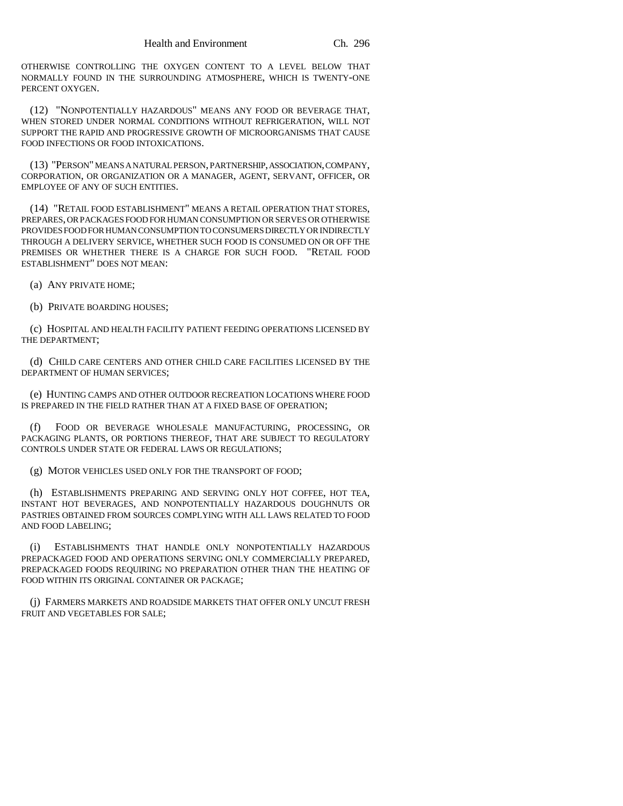OTHERWISE CONTROLLING THE OXYGEN CONTENT TO A LEVEL BELOW THAT NORMALLY FOUND IN THE SURROUNDING ATMOSPHERE, WHICH IS TWENTY-ONE PERCENT OXYGEN.

(12) "NONPOTENTIALLY HAZARDOUS" MEANS ANY FOOD OR BEVERAGE THAT, WHEN STORED UNDER NORMAL CONDITIONS WITHOUT REFRIGERATION, WILL NOT SUPPORT THE RAPID AND PROGRESSIVE GROWTH OF MICROORGANISMS THAT CAUSE FOOD INFECTIONS OR FOOD INTOXICATIONS.

(13) "PERSON" MEANS A NATURAL PERSON, PARTNERSHIP, ASSOCIATION, COMPANY, CORPORATION, OR ORGANIZATION OR A MANAGER, AGENT, SERVANT, OFFICER, OR EMPLOYEE OF ANY OF SUCH ENTITIES.

(14) "RETAIL FOOD ESTABLISHMENT" MEANS A RETAIL OPERATION THAT STORES, PREPARES, OR PACKAGES FOOD FOR HUMAN CONSUMPTION OR SERVES OR OTHERWISE PROVIDES FOOD FOR HUMAN CONSUMPTION TO CONSUMERS DIRECTLY OR INDIRECTLY THROUGH A DELIVERY SERVICE, WHETHER SUCH FOOD IS CONSUMED ON OR OFF THE PREMISES OR WHETHER THERE IS A CHARGE FOR SUCH FOOD. "RETAIL FOOD ESTABLISHMENT" DOES NOT MEAN:

(a) ANY PRIVATE HOME;

(b) PRIVATE BOARDING HOUSES;

(c) HOSPITAL AND HEALTH FACILITY PATIENT FEEDING OPERATIONS LICENSED BY THE DEPARTMENT;

(d) CHILD CARE CENTERS AND OTHER CHILD CARE FACILITIES LICENSED BY THE DEPARTMENT OF HUMAN SERVICES;

(e) HUNTING CAMPS AND OTHER OUTDOOR RECREATION LOCATIONS WHERE FOOD IS PREPARED IN THE FIELD RATHER THAN AT A FIXED BASE OF OPERATION;

(f) FOOD OR BEVERAGE WHOLESALE MANUFACTURING, PROCESSING, OR PACKAGING PLANTS, OR PORTIONS THEREOF, THAT ARE SUBJECT TO REGULATORY CONTROLS UNDER STATE OR FEDERAL LAWS OR REGULATIONS;

(g) MOTOR VEHICLES USED ONLY FOR THE TRANSPORT OF FOOD;

(h) ESTABLISHMENTS PREPARING AND SERVING ONLY HOT COFFEE, HOT TEA, INSTANT HOT BEVERAGES, AND NONPOTENTIALLY HAZARDOUS DOUGHNUTS OR PASTRIES OBTAINED FROM SOURCES COMPLYING WITH ALL LAWS RELATED TO FOOD AND FOOD LABELING;

(i) ESTABLISHMENTS THAT HANDLE ONLY NONPOTENTIALLY HAZARDOUS PREPACKAGED FOOD AND OPERATIONS SERVING ONLY COMMERCIALLY PREPARED, PREPACKAGED FOODS REQUIRING NO PREPARATION OTHER THAN THE HEATING OF FOOD WITHIN ITS ORIGINAL CONTAINER OR PACKAGE;

(j) FARMERS MARKETS AND ROADSIDE MARKETS THAT OFFER ONLY UNCUT FRESH FRUIT AND VEGETABLES FOR SALE;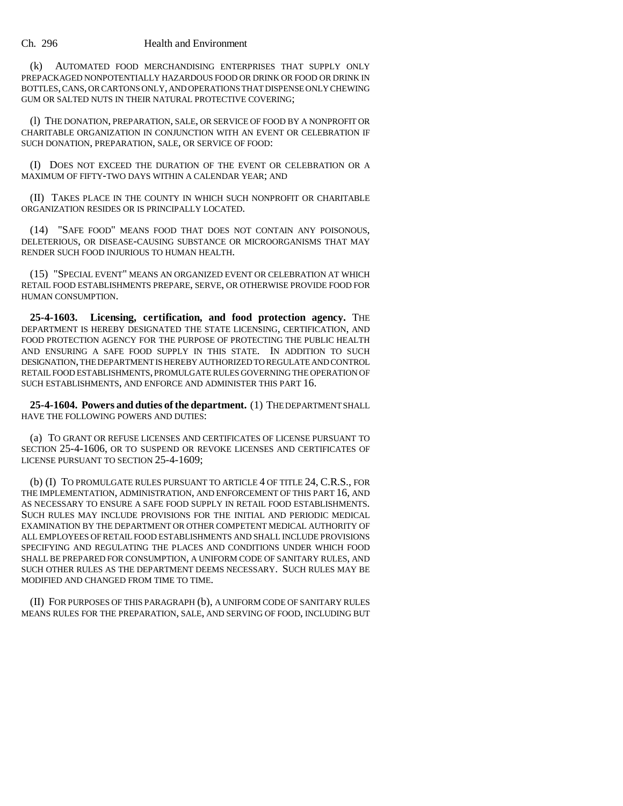#### Ch. 296 Health and Environment

(k) AUTOMATED FOOD MERCHANDISING ENTERPRISES THAT SUPPLY ONLY PREPACKAGED NONPOTENTIALLY HAZARDOUS FOOD OR DRINK OR FOOD OR DRINK IN BOTTLES, CANS, OR CARTONS ONLY, AND OPERATIONS THAT DISPENSE ONLY CHEWING GUM OR SALTED NUTS IN THEIR NATURAL PROTECTIVE COVERING;

(l) THE DONATION, PREPARATION, SALE, OR SERVICE OF FOOD BY A NONPROFIT OR CHARITABLE ORGANIZATION IN CONJUNCTION WITH AN EVENT OR CELEBRATION IF SUCH DONATION, PREPARATION, SALE, OR SERVICE OF FOOD:

(I) DOES NOT EXCEED THE DURATION OF THE EVENT OR CELEBRATION OR A MAXIMUM OF FIFTY-TWO DAYS WITHIN A CALENDAR YEAR; AND

(II) TAKES PLACE IN THE COUNTY IN WHICH SUCH NONPROFIT OR CHARITABLE ORGANIZATION RESIDES OR IS PRINCIPALLY LOCATED.

(14) "SAFE FOOD" MEANS FOOD THAT DOES NOT CONTAIN ANY POISONOUS, DELETERIOUS, OR DISEASE-CAUSING SUBSTANCE OR MICROORGANISMS THAT MAY RENDER SUCH FOOD INJURIOUS TO HUMAN HEALTH.

(15) "SPECIAL EVENT" MEANS AN ORGANIZED EVENT OR CELEBRATION AT WHICH RETAIL FOOD ESTABLISHMENTS PREPARE, SERVE, OR OTHERWISE PROVIDE FOOD FOR HUMAN CONSUMPTION.

**25-4-1603. Licensing, certification, and food protection agency.** THE DEPARTMENT IS HEREBY DESIGNATED THE STATE LICENSING, CERTIFICATION, AND FOOD PROTECTION AGENCY FOR THE PURPOSE OF PROTECTING THE PUBLIC HEALTH AND ENSURING A SAFE FOOD SUPPLY IN THIS STATE. IN ADDITION TO SUCH DESIGNATION, THE DEPARTMENT IS HEREBY AUTHORIZED TO REGULATE AND CONTROL RETAIL FOOD ESTABLISHMENTS, PROMULGATE RULES GOVERNING THE OPERATION OF SUCH ESTABLISHMENTS, AND ENFORCE AND ADMINISTER THIS PART 16.

**25-4-1604. Powers and duties of the department.** (1) THE DEPARTMENT SHALL HAVE THE FOLLOWING POWERS AND DUTIES:

(a) TO GRANT OR REFUSE LICENSES AND CERTIFICATES OF LICENSE PURSUANT TO SECTION 25-4-1606, OR TO SUSPEND OR REVOKE LICENSES AND CERTIFICATES OF LICENSE PURSUANT TO SECTION 25-4-1609;

(b) (I) TO PROMULGATE RULES PURSUANT TO ARTICLE 4 OF TITLE 24, C.R.S., FOR THE IMPLEMENTATION, ADMINISTRATION, AND ENFORCEMENT OF THIS PART 16, AND AS NECESSARY TO ENSURE A SAFE FOOD SUPPLY IN RETAIL FOOD ESTABLISHMENTS. SUCH RULES MAY INCLUDE PROVISIONS FOR THE INITIAL AND PERIODIC MEDICAL EXAMINATION BY THE DEPARTMENT OR OTHER COMPETENT MEDICAL AUTHORITY OF ALL EMPLOYEES OF RETAIL FOOD ESTABLISHMENTS AND SHALL INCLUDE PROVISIONS SPECIFYING AND REGULATING THE PLACES AND CONDITIONS UNDER WHICH FOOD SHALL BE PREPARED FOR CONSUMPTION, A UNIFORM CODE OF SANITARY RULES, AND SUCH OTHER RULES AS THE DEPARTMENT DEEMS NECESSARY. SUCH RULES MAY BE MODIFIED AND CHANGED FROM TIME TO TIME.

(II) FOR PURPOSES OF THIS PARAGRAPH (b), A UNIFORM CODE OF SANITARY RULES MEANS RULES FOR THE PREPARATION, SALE, AND SERVING OF FOOD, INCLUDING BUT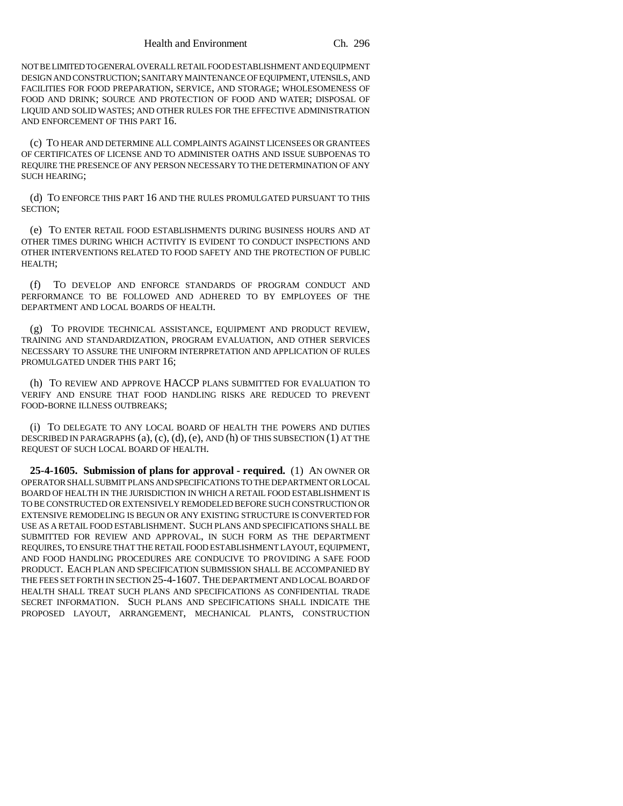NOT BE LIMITED TO GENERAL OVERALL RETAIL FOOD ESTABLISHMENT AND EQUIPMENT DESIGN AND CONSTRUCTION; SANITARY MAINTENANCE OF EQUIPMENT, UTENSILS, AND FACILITIES FOR FOOD PREPARATION, SERVICE, AND STORAGE; WHOLESOMENESS OF FOOD AND DRINK; SOURCE AND PROTECTION OF FOOD AND WATER; DISPOSAL OF LIQUID AND SOLID WASTES; AND OTHER RULES FOR THE EFFECTIVE ADMINISTRATION AND ENFORCEMENT OF THIS PART 16.

(c) TO HEAR AND DETERMINE ALL COMPLAINTS AGAINST LICENSEES OR GRANTEES OF CERTIFICATES OF LICENSE AND TO ADMINISTER OATHS AND ISSUE SUBPOENAS TO REQUIRE THE PRESENCE OF ANY PERSON NECESSARY TO THE DETERMINATION OF ANY SUCH HEARING;

(d) TO ENFORCE THIS PART 16 AND THE RULES PROMULGATED PURSUANT TO THIS SECTION;

(e) TO ENTER RETAIL FOOD ESTABLISHMENTS DURING BUSINESS HOURS AND AT OTHER TIMES DURING WHICH ACTIVITY IS EVIDENT TO CONDUCT INSPECTIONS AND OTHER INTERVENTIONS RELATED TO FOOD SAFETY AND THE PROTECTION OF PUBLIC HEALTH;

(f) TO DEVELOP AND ENFORCE STANDARDS OF PROGRAM CONDUCT AND PERFORMANCE TO BE FOLLOWED AND ADHERED TO BY EMPLOYEES OF THE DEPARTMENT AND LOCAL BOARDS OF HEALTH.

(g) TO PROVIDE TECHNICAL ASSISTANCE, EQUIPMENT AND PRODUCT REVIEW, TRAINING AND STANDARDIZATION, PROGRAM EVALUATION, AND OTHER SERVICES NECESSARY TO ASSURE THE UNIFORM INTERPRETATION AND APPLICATION OF RULES PROMULGATED UNDER THIS PART 16;

(h) TO REVIEW AND APPROVE HACCP PLANS SUBMITTED FOR EVALUATION TO VERIFY AND ENSURE THAT FOOD HANDLING RISKS ARE REDUCED TO PREVENT FOOD-BORNE ILLNESS OUTBREAKS;

(i) TO DELEGATE TO ANY LOCAL BOARD OF HEALTH THE POWERS AND DUTIES DESCRIBED IN PARAGRAPHS (a), (c), (d), (e), AND (h) OF THIS SUBSECTION (1) AT THE REQUEST OF SUCH LOCAL BOARD OF HEALTH.

**25-4-1605. Submission of plans for approval - required.** (1) AN OWNER OR OPERATOR SHALL SUBMIT PLANS AND SPECIFICATIONS TO THE DEPARTMENT OR LOCAL BOARD OF HEALTH IN THE JURISDICTION IN WHICH A RETAIL FOOD ESTABLISHMENT IS TO BE CONSTRUCTED OR EXTENSIVELY REMODELED BEFORE SUCH CONSTRUCTION OR EXTENSIVE REMODELING IS BEGUN OR ANY EXISTING STRUCTURE IS CONVERTED FOR USE AS A RETAIL FOOD ESTABLISHMENT. SUCH PLANS AND SPECIFICATIONS SHALL BE SUBMITTED FOR REVIEW AND APPROVAL, IN SUCH FORM AS THE DEPARTMENT REQUIRES, TO ENSURE THAT THE RETAIL FOOD ESTABLISHMENT LAYOUT, EQUIPMENT, AND FOOD HANDLING PROCEDURES ARE CONDUCIVE TO PROVIDING A SAFE FOOD PRODUCT. EACH PLAN AND SPECIFICATION SUBMISSION SHALL BE ACCOMPANIED BY THE FEES SET FORTH IN SECTION 25-4-1607. THE DEPARTMENT AND LOCAL BOARD OF HEALTH SHALL TREAT SUCH PLANS AND SPECIFICATIONS AS CONFIDENTIAL TRADE SECRET INFORMATION. SUCH PLANS AND SPECIFICATIONS SHALL INDICATE THE PROPOSED LAYOUT, ARRANGEMENT, MECHANICAL PLANTS, CONSTRUCTION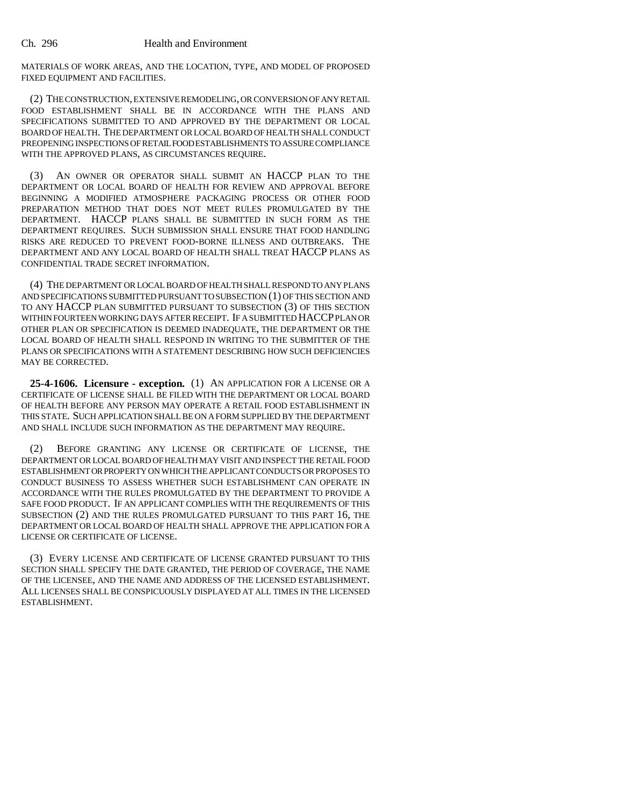MATERIALS OF WORK AREAS, AND THE LOCATION, TYPE, AND MODEL OF PROPOSED FIXED EQUIPMENT AND FACILITIES.

(2) THE CONSTRUCTION, EXTENSIVE REMODELING, OR CONVERSION OF ANY RETAIL FOOD ESTABLISHMENT SHALL BE IN ACCORDANCE WITH THE PLANS AND SPECIFICATIONS SUBMITTED TO AND APPROVED BY THE DEPARTMENT OR LOCAL BOARD OF HEALTH. THE DEPARTMENT OR LOCAL BOARD OF HEALTH SHALL CONDUCT PREOPENING INSPECTIONS OF RETAIL FOOD ESTABLISHMENTS TO ASSURE COMPLIANCE WITH THE APPROVED PLANS, AS CIRCUMSTANCES REQUIRE.

(3) AN OWNER OR OPERATOR SHALL SUBMIT AN HACCP PLAN TO THE DEPARTMENT OR LOCAL BOARD OF HEALTH FOR REVIEW AND APPROVAL BEFORE BEGINNING A MODIFIED ATMOSPHERE PACKAGING PROCESS OR OTHER FOOD PREPARATION METHOD THAT DOES NOT MEET RULES PROMULGATED BY THE DEPARTMENT. HACCP PLANS SHALL BE SUBMITTED IN SUCH FORM AS THE DEPARTMENT REQUIRES. SUCH SUBMISSION SHALL ENSURE THAT FOOD HANDLING RISKS ARE REDUCED TO PREVENT FOOD-BORNE ILLNESS AND OUTBREAKS. THE DEPARTMENT AND ANY LOCAL BOARD OF HEALTH SHALL TREAT HACCP PLANS AS CONFIDENTIAL TRADE SECRET INFORMATION.

(4) THE DEPARTMENT OR LOCAL BOARD OF HEALTH SHALL RESPOND TO ANY PLANS AND SPECIFICATIONS SUBMITTED PURSUANT TO SUBSECTION (1) OF THIS SECTION AND TO ANY HACCP PLAN SUBMITTED PURSUANT TO SUBSECTION (3) OF THIS SECTION WITHIN FOURTEEN WORKING DAYS AFTER RECEIPT. IF A SUBMITTED HACCP PLAN OR OTHER PLAN OR SPECIFICATION IS DEEMED INADEQUATE, THE DEPARTMENT OR THE LOCAL BOARD OF HEALTH SHALL RESPOND IN WRITING TO THE SUBMITTER OF THE PLANS OR SPECIFICATIONS WITH A STATEMENT DESCRIBING HOW SUCH DEFICIENCIES MAY BE CORRECTED.

**25-4-1606. Licensure - exception.** (1) AN APPLICATION FOR A LICENSE OR A CERTIFICATE OF LICENSE SHALL BE FILED WITH THE DEPARTMENT OR LOCAL BOARD OF HEALTH BEFORE ANY PERSON MAY OPERATE A RETAIL FOOD ESTABLISHMENT IN THIS STATE. SUCH APPLICATION SHALL BE ON A FORM SUPPLIED BY THE DEPARTMENT AND SHALL INCLUDE SUCH INFORMATION AS THE DEPARTMENT MAY REQUIRE.

(2) BEFORE GRANTING ANY LICENSE OR CERTIFICATE OF LICENSE, THE DEPARTMENT OR LOCAL BOARD OF HEALTH MAY VISIT AND INSPECT THE RETAIL FOOD ESTABLISHMENT OR PROPERTY ON WHICH THE APPLICANT CONDUCTS OR PROPOSES TO CONDUCT BUSINESS TO ASSESS WHETHER SUCH ESTABLISHMENT CAN OPERATE IN ACCORDANCE WITH THE RULES PROMULGATED BY THE DEPARTMENT TO PROVIDE A SAFE FOOD PRODUCT. IF AN APPLICANT COMPLIES WITH THE REQUIREMENTS OF THIS SUBSECTION (2) AND THE RULES PROMULGATED PURSUANT TO THIS PART 16, THE DEPARTMENT OR LOCAL BOARD OF HEALTH SHALL APPROVE THE APPLICATION FOR A LICENSE OR CERTIFICATE OF LICENSE.

(3) EVERY LICENSE AND CERTIFICATE OF LICENSE GRANTED PURSUANT TO THIS SECTION SHALL SPECIFY THE DATE GRANTED, THE PERIOD OF COVERAGE, THE NAME OF THE LICENSEE, AND THE NAME AND ADDRESS OF THE LICENSED ESTABLISHMENT. ALL LICENSES SHALL BE CONSPICUOUSLY DISPLAYED AT ALL TIMES IN THE LICENSED ESTABLISHMENT.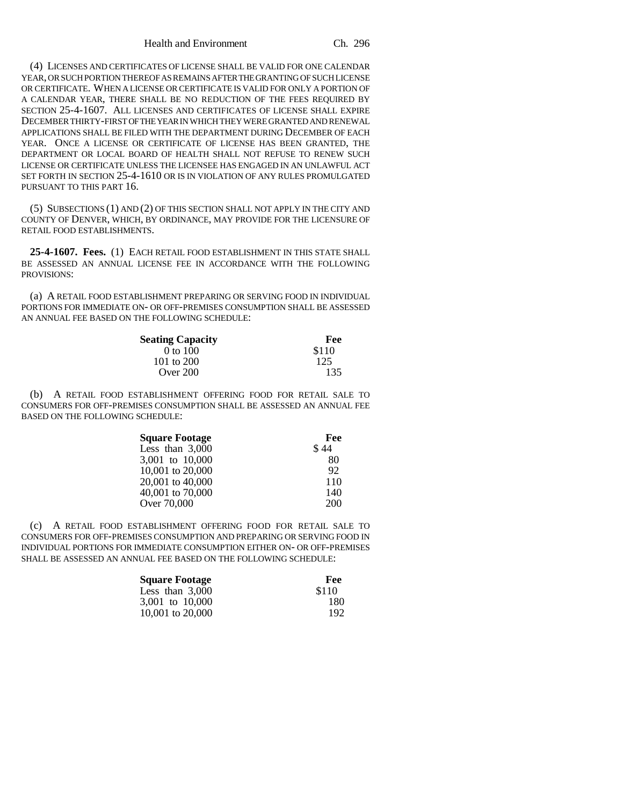(4) LICENSES AND CERTIFICATES OF LICENSE SHALL BE VALID FOR ONE CALENDAR YEAR, OR SUCH PORTION THEREOF AS REMAINS AFTER THE GRANTING OF SUCH LICENSE OR CERTIFICATE. WHEN A LICENSE OR CERTIFICATE IS VALID FOR ONLY A PORTION OF A CALENDAR YEAR, THERE SHALL BE NO REDUCTION OF THE FEES REQUIRED BY SECTION 25-4-1607. ALL LICENSES AND CERTIFICATES OF LICENSE SHALL EXPIRE DECEMBER THIRTY-FIRST OF THE YEAR IN WHICH THEY WERE GRANTED AND RENEWAL APPLICATIONS SHALL BE FILED WITH THE DEPARTMENT DURING DECEMBER OF EACH YEAR. ONCE A LICENSE OR CERTIFICATE OF LICENSE HAS BEEN GRANTED, THE DEPARTMENT OR LOCAL BOARD OF HEALTH SHALL NOT REFUSE TO RENEW SUCH LICENSE OR CERTIFICATE UNLESS THE LICENSEE HAS ENGAGED IN AN UNLAWFUL ACT SET FORTH IN SECTION 25-4-1610 OR IS IN VIOLATION OF ANY RULES PROMULGATED PURSUANT TO THIS PART 16.

(5) SUBSECTIONS (1) AND (2) OF THIS SECTION SHALL NOT APPLY IN THE CITY AND COUNTY OF DENVER, WHICH, BY ORDINANCE, MAY PROVIDE FOR THE LICENSURE OF RETAIL FOOD ESTABLISHMENTS.

**25-4-1607. Fees.** (1) EACH RETAIL FOOD ESTABLISHMENT IN THIS STATE SHALL BE ASSESSED AN ANNUAL LICENSE FEE IN ACCORDANCE WITH THE FOLLOWING PROVISIONS:

(a) A RETAIL FOOD ESTABLISHMENT PREPARING OR SERVING FOOD IN INDIVIDUAL PORTIONS FOR IMMEDIATE ON- OR OFF-PREMISES CONSUMPTION SHALL BE ASSESSED AN ANNUAL FEE BASED ON THE FOLLOWING SCHEDULE:

| <b>Seating Capacity</b> | Fee   |
|-------------------------|-------|
| $0$ to $100$            | \$110 |
| 101 to $200$            | 125   |
| Over $200$              | 135   |

(b) A RETAIL FOOD ESTABLISHMENT OFFERING FOOD FOR RETAIL SALE TO CONSUMERS FOR OFF-PREMISES CONSUMPTION SHALL BE ASSESSED AN ANNUAL FEE BASED ON THE FOLLOWING SCHEDULE:

| Fee  |
|------|
| \$44 |
| -80  |
| 92   |
| 110  |
| 140  |
| 200  |
|      |

(c) A RETAIL FOOD ESTABLISHMENT OFFERING FOOD FOR RETAIL SALE TO CONSUMERS FOR OFF-PREMISES CONSUMPTION AND PREPARING OR SERVING FOOD IN INDIVIDUAL PORTIONS FOR IMMEDIATE CONSUMPTION EITHER ON- OR OFF-PREMISES SHALL BE ASSESSED AN ANNUAL FEE BASED ON THE FOLLOWING SCHEDULE:

| <b>Square Footage</b> | Fee   |
|-----------------------|-------|
| Less than 3.000       | \$110 |
| 3.001 to 10.000       | 180   |
| 10,001 to 20,000      | 192   |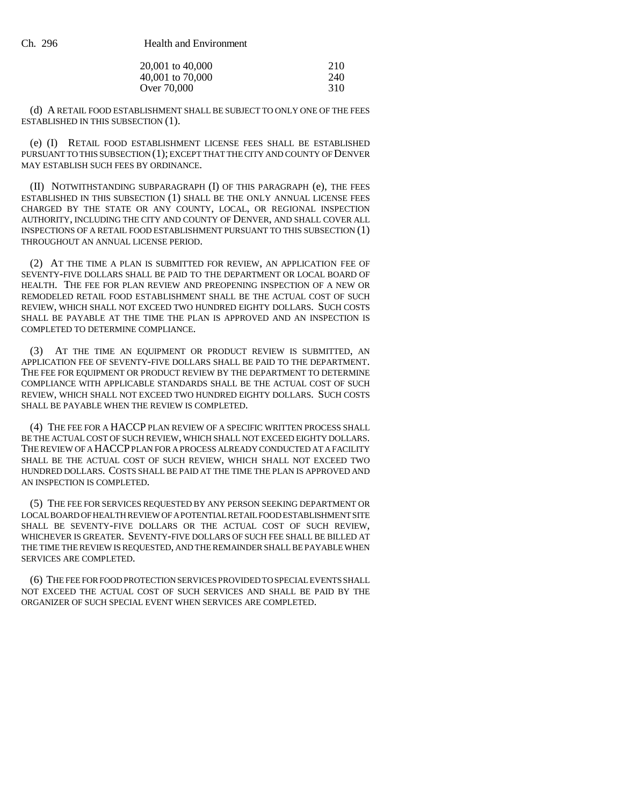| 20,001 to 40,000 | 210 |
|------------------|-----|
| 40,001 to 70,000 | 240 |
| Over 70,000      | 310 |

(d) A RETAIL FOOD ESTABLISHMENT SHALL BE SUBJECT TO ONLY ONE OF THE FEES ESTABLISHED IN THIS SUBSECTION (1).

(e) (I) RETAIL FOOD ESTABLISHMENT LICENSE FEES SHALL BE ESTABLISHED PURSUANT TO THIS SUBSECTION (1); EXCEPT THAT THE CITY AND COUNTY OF DENVER MAY ESTABLISH SUCH FEES BY ORDINANCE.

(II) NOTWITHSTANDING SUBPARAGRAPH (I) OF THIS PARAGRAPH (e), THE FEES ESTABLISHED IN THIS SUBSECTION (1) SHALL BE THE ONLY ANNUAL LICENSE FEES CHARGED BY THE STATE OR ANY COUNTY, LOCAL, OR REGIONAL INSPECTION AUTHORITY, INCLUDING THE CITY AND COUNTY OF DENVER, AND SHALL COVER ALL INSPECTIONS OF A RETAIL FOOD ESTABLISHMENT PURSUANT TO THIS SUBSECTION (1) THROUGHOUT AN ANNUAL LICENSE PERIOD.

(2) AT THE TIME A PLAN IS SUBMITTED FOR REVIEW, AN APPLICATION FEE OF SEVENTY-FIVE DOLLARS SHALL BE PAID TO THE DEPARTMENT OR LOCAL BOARD OF HEALTH. THE FEE FOR PLAN REVIEW AND PREOPENING INSPECTION OF A NEW OR REMODELED RETAIL FOOD ESTABLISHMENT SHALL BE THE ACTUAL COST OF SUCH REVIEW, WHICH SHALL NOT EXCEED TWO HUNDRED EIGHTY DOLLARS. SUCH COSTS SHALL BE PAYABLE AT THE TIME THE PLAN IS APPROVED AND AN INSPECTION IS COMPLETED TO DETERMINE COMPLIANCE.

(3) AT THE TIME AN EQUIPMENT OR PRODUCT REVIEW IS SUBMITTED, AN APPLICATION FEE OF SEVENTY-FIVE DOLLARS SHALL BE PAID TO THE DEPARTMENT. THE FEE FOR EQUIPMENT OR PRODUCT REVIEW BY THE DEPARTMENT TO DETERMINE COMPLIANCE WITH APPLICABLE STANDARDS SHALL BE THE ACTUAL COST OF SUCH REVIEW, WHICH SHALL NOT EXCEED TWO HUNDRED EIGHTY DOLLARS. SUCH COSTS SHALL BE PAYABLE WHEN THE REVIEW IS COMPLETED.

(4) THE FEE FOR A HACCP PLAN REVIEW OF A SPECIFIC WRITTEN PROCESS SHALL BE THE ACTUAL COST OF SUCH REVIEW, WHICH SHALL NOT EXCEED EIGHTY DOLLARS. THE REVIEW OF A HACCP PLAN FOR A PROCESS ALREADY CONDUCTED AT A FACILITY SHALL BE THE ACTUAL COST OF SUCH REVIEW, WHICH SHALL NOT EXCEED TWO HUNDRED DOLLARS. COSTS SHALL BE PAID AT THE TIME THE PLAN IS APPROVED AND AN INSPECTION IS COMPLETED.

(5) THE FEE FOR SERVICES REQUESTED BY ANY PERSON SEEKING DEPARTMENT OR LOCAL BOARD OF HEALTH REVIEW OF A POTENTIAL RETAIL FOOD ESTABLISHMENT SITE SHALL BE SEVENTY-FIVE DOLLARS OR THE ACTUAL COST OF SUCH REVIEW, WHICHEVER IS GREATER. SEVENTY-FIVE DOLLARS OF SUCH FEE SHALL BE BILLED AT THE TIME THE REVIEW IS REQUESTED, AND THE REMAINDER SHALL BE PAYABLE WHEN SERVICES ARE COMPLETED.

(6) THE FEE FOR FOOD PROTECTION SERVICES PROVIDED TO SPECIAL EVENTS SHALL NOT EXCEED THE ACTUAL COST OF SUCH SERVICES AND SHALL BE PAID BY THE ORGANIZER OF SUCH SPECIAL EVENT WHEN SERVICES ARE COMPLETED.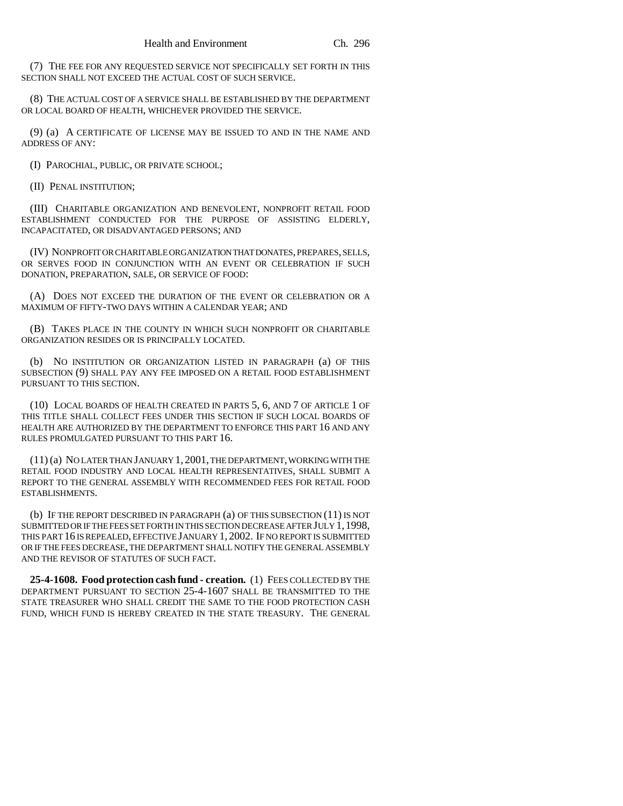(7) THE FEE FOR ANY REQUESTED SERVICE NOT SPECIFICALLY SET FORTH IN THIS SECTION SHALL NOT EXCEED THE ACTUAL COST OF SUCH SERVICE.

(8) THE ACTUAL COST OF A SERVICE SHALL BE ESTABLISHED BY THE DEPARTMENT OR LOCAL BOARD OF HEALTH, WHICHEVER PROVIDED THE SERVICE.

(9) (a) A CERTIFICATE OF LICENSE MAY BE ISSUED TO AND IN THE NAME AND ADDRESS OF ANY:

(I) PAROCHIAL, PUBLIC, OR PRIVATE SCHOOL;

(II) PENAL INSTITUTION;

(III) CHARITABLE ORGANIZATION AND BENEVOLENT, NONPROFIT RETAIL FOOD ESTABLISHMENT CONDUCTED FOR THE PURPOSE OF ASSISTING ELDERLY, INCAPACITATED, OR DISADVANTAGED PERSONS; AND

(IV) NONPROFIT OR CHARITABLE ORGANIZATION THAT DONATES, PREPARES, SELLS, OR SERVES FOOD IN CONJUNCTION WITH AN EVENT OR CELEBRATION IF SUCH DONATION, PREPARATION, SALE, OR SERVICE OF FOOD:

(A) DOES NOT EXCEED THE DURATION OF THE EVENT OR CELEBRATION OR A MAXIMUM OF FIFTY-TWO DAYS WITHIN A CALENDAR YEAR; AND

(B) TAKES PLACE IN THE COUNTY IN WHICH SUCH NONPROFIT OR CHARITABLE ORGANIZATION RESIDES OR IS PRINCIPALLY LOCATED.

(b) NO INSTITUTION OR ORGANIZATION LISTED IN PARAGRAPH (a) OF THIS SUBSECTION (9) SHALL PAY ANY FEE IMPOSED ON A RETAIL FOOD ESTABLISHMENT PURSUANT TO THIS SECTION.

(10) LOCAL BOARDS OF HEALTH CREATED IN PARTS 5, 6, AND 7 OF ARTICLE 1 OF THIS TITLE SHALL COLLECT FEES UNDER THIS SECTION IF SUCH LOCAL BOARDS OF HEALTH ARE AUTHORIZED BY THE DEPARTMENT TO ENFORCE THIS PART 16 AND ANY RULES PROMULGATED PURSUANT TO THIS PART 16.

(11) (a) NO LATER THAN JANUARY 1, 2001, THE DEPARTMENT, WORKING WITH THE RETAIL FOOD INDUSTRY AND LOCAL HEALTH REPRESENTATIVES, SHALL SUBMIT A REPORT TO THE GENERAL ASSEMBLY WITH RECOMMENDED FEES FOR RETAIL FOOD ESTABLISHMENTS.

(b) IF THE REPORT DESCRIBED IN PARAGRAPH (a) OF THIS SUBSECTION (11) IS NOT SUBMITTED OR IF THE FEES SET FORTH IN THIS SECTION DECREASE AFTER JULY 1,1998, THIS PART 16 IS REPEALED, EFFECTIVE JANUARY 1, 2002. IF NO REPORT IS SUBMITTED OR IF THE FEES DECREASE, THE DEPARTMENT SHALL NOTIFY THE GENERAL ASSEMBLY AND THE REVISOR OF STATUTES OF SUCH FACT.

**25-4-1608. Food protection cash fund - creation.** (1) FEES COLLECTED BY THE DEPARTMENT PURSUANT TO SECTION 25-4-1607 SHALL BE TRANSMITTED TO THE STATE TREASURER WHO SHALL CREDIT THE SAME TO THE FOOD PROTECTION CASH FUND, WHICH FUND IS HEREBY CREATED IN THE STATE TREASURY. THE GENERAL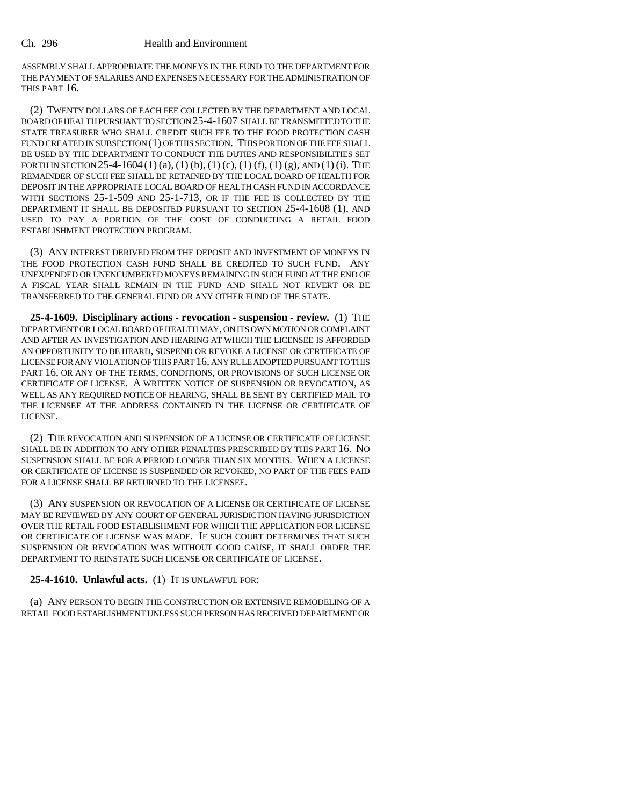#### Ch. 296 Health and Environment

ASSEMBLY SHALL APPROPRIATE THE MONEYS IN THE FUND TO THE DEPARTMENT FOR THE PAYMENT OF SALARIES AND EXPENSES NECESSARY FOR THE ADMINISTRATION OF THIS PART 16.

(2) TWENTY DOLLARS OF EACH FEE COLLECTED BY THE DEPARTMENT AND LOCAL BOARD OF HEALTH PURSUANT TO SECTION 25-4-1607 SHALL BE TRANSMITTED TO THE STATE TREASURER WHO SHALL CREDIT SUCH FEE TO THE FOOD PROTECTION CASH FUND CREATED IN SUBSECTION (1) OF THIS SECTION. THIS PORTION OF THE FEE SHALL BE USED BY THE DEPARTMENT TO CONDUCT THE DUTIES AND RESPONSIBILITIES SET FORTH IN SECTION 25-4-1604 (1) (a), (1) (b), (1) (c), (1) (f), (1) (g), AND (1) (i). THE REMAINDER OF SUCH FEE SHALL BE RETAINED BY THE LOCAL BOARD OF HEALTH FOR DEPOSIT IN THE APPROPRIATE LOCAL BOARD OF HEALTH CASH FUND IN ACCORDANCE WITH SECTIONS 25-1-509 AND 25-1-713, OR IF THE FEE IS COLLECTED BY THE DEPARTMENT IT SHALL BE DEPOSITED PURSUANT TO SECTION 25-4-1608 (1), AND USED TO PAY A PORTION OF THE COST OF CONDUCTING A RETAIL FOOD ESTABLISHMENT PROTECTION PROGRAM.

(3) ANY INTEREST DERIVED FROM THE DEPOSIT AND INVESTMENT OF MONEYS IN THE FOOD PROTECTION CASH FUND SHALL BE CREDITED TO SUCH FUND. ANY UNEXPENDED OR UNENCUMBERED MONEYS REMAINING IN SUCH FUND AT THE END OF A FISCAL YEAR SHALL REMAIN IN THE FUND AND SHALL NOT REVERT OR BE TRANSFERRED TO THE GENERAL FUND OR ANY OTHER FUND OF THE STATE.

**25-4-1609. Disciplinary actions - revocation - suspension - review.** (1) THE DEPARTMENT OR LOCAL BOARD OF HEALTH MAY, ON ITS OWN MOTION OR COMPLAINT AND AFTER AN INVESTIGATION AND HEARING AT WHICH THE LICENSEE IS AFFORDED AN OPPORTUNITY TO BE HEARD, SUSPEND OR REVOKE A LICENSE OR CERTIFICATE OF LICENSE FOR ANY VIOLATION OF THIS PART 16, ANY RULE ADOPTED PURSUANT TO THIS PART 16, OR ANY OF THE TERMS, CONDITIONS, OR PROVISIONS OF SUCH LICENSE OR CERTIFICATE OF LICENSE. A WRITTEN NOTICE OF SUSPENSION OR REVOCATION, AS WELL AS ANY REQUIRED NOTICE OF HEARING, SHALL BE SENT BY CERTIFIED MAIL TO THE LICENSEE AT THE ADDRESS CONTAINED IN THE LICENSE OR CERTIFICATE OF LICENSE.

(2) THE REVOCATION AND SUSPENSION OF A LICENSE OR CERTIFICATE OF LICENSE SHALL BE IN ADDITION TO ANY OTHER PENALTIES PRESCRIBED BY THIS PART 16. NO SUSPENSION SHALL BE FOR A PERIOD LONGER THAN SIX MONTHS. WHEN A LICENSE OR CERTIFICATE OF LICENSE IS SUSPENDED OR REVOKED, NO PART OF THE FEES PAID FOR A LICENSE SHALL BE RETURNED TO THE LICENSEE.

(3) ANY SUSPENSION OR REVOCATION OF A LICENSE OR CERTIFICATE OF LICENSE MAY BE REVIEWED BY ANY COURT OF GENERAL JURISDICTION HAVING JURISDICTION OVER THE RETAIL FOOD ESTABLISHMENT FOR WHICH THE APPLICATION FOR LICENSE OR CERTIFICATE OF LICENSE WAS MADE. IF SUCH COURT DETERMINES THAT SUCH SUSPENSION OR REVOCATION WAS WITHOUT GOOD CAUSE, IT SHALL ORDER THE DEPARTMENT TO REINSTATE SUCH LICENSE OR CERTIFICATE OF LICENSE.

#### **25-4-1610. Unlawful acts.** (1) IT IS UNLAWFUL FOR:

(a) ANY PERSON TO BEGIN THE CONSTRUCTION OR EXTENSIVE REMODELING OF A RETAIL FOOD ESTABLISHMENT UNLESS SUCH PERSON HAS RECEIVED DEPARTMENT OR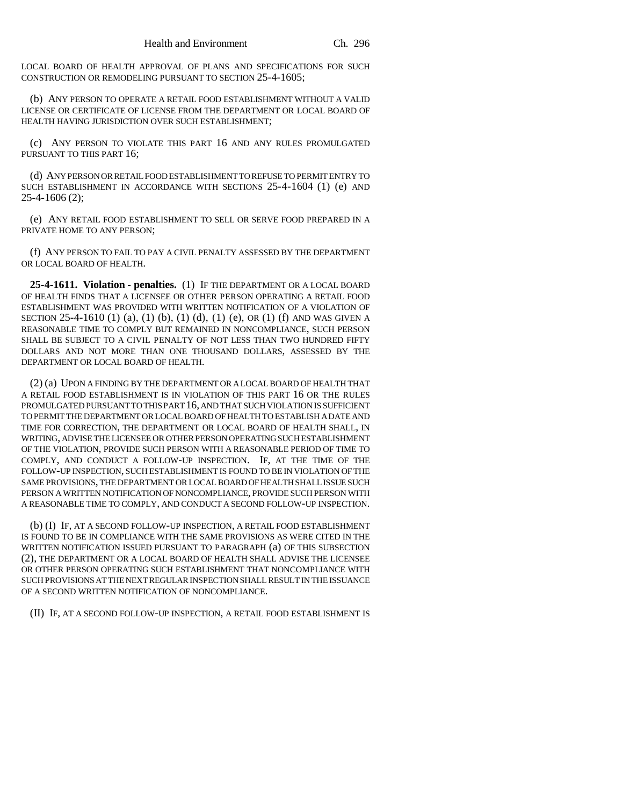LOCAL BOARD OF HEALTH APPROVAL OF PLANS AND SPECIFICATIONS FOR SUCH CONSTRUCTION OR REMODELING PURSUANT TO SECTION 25-4-1605;

(b) ANY PERSON TO OPERATE A RETAIL FOOD ESTABLISHMENT WITHOUT A VALID LICENSE OR CERTIFICATE OF LICENSE FROM THE DEPARTMENT OR LOCAL BOARD OF HEALTH HAVING JURISDICTION OVER SUCH ESTABLISHMENT;

(c) ANY PERSON TO VIOLATE THIS PART 16 AND ANY RULES PROMULGATED PURSUANT TO THIS PART 16:

(d) ANY PERSON OR RETAIL FOOD ESTABLISHMENT TO REFUSE TO PERMIT ENTRY TO SUCH ESTABLISHMENT IN ACCORDANCE WITH SECTIONS 25-4-1604 (1) (e) AND 25-4-1606 (2);

(e) ANY RETAIL FOOD ESTABLISHMENT TO SELL OR SERVE FOOD PREPARED IN A PRIVATE HOME TO ANY PERSON;

(f) ANY PERSON TO FAIL TO PAY A CIVIL PENALTY ASSESSED BY THE DEPARTMENT OR LOCAL BOARD OF HEALTH.

**25-4-1611. Violation - penalties.** (1) IF THE DEPARTMENT OR A LOCAL BOARD OF HEALTH FINDS THAT A LICENSEE OR OTHER PERSON OPERATING A RETAIL FOOD ESTABLISHMENT WAS PROVIDED WITH WRITTEN NOTIFICATION OF A VIOLATION OF SECTION 25-4-1610 (1) (a), (1) (b), (1) (d), (1) (e), OR (1) (f) AND WAS GIVEN A REASONABLE TIME TO COMPLY BUT REMAINED IN NONCOMPLIANCE, SUCH PERSON SHALL BE SUBJECT TO A CIVIL PENALTY OF NOT LESS THAN TWO HUNDRED FIFTY DOLLARS AND NOT MORE THAN ONE THOUSAND DOLLARS, ASSESSED BY THE DEPARTMENT OR LOCAL BOARD OF HEALTH.

(2) (a) UPON A FINDING BY THE DEPARTMENT OR A LOCAL BOARD OF HEALTH THAT A RETAIL FOOD ESTABLISHMENT IS IN VIOLATION OF THIS PART 16 OR THE RULES PROMULGATED PURSUANT TO THIS PART 16, AND THAT SUCH VIOLATION IS SUFFICIENT TO PERMIT THE DEPARTMENT OR LOCAL BOARD OF HEALTH TO ESTABLISH A DATE AND TIME FOR CORRECTION, THE DEPARTMENT OR LOCAL BOARD OF HEALTH SHALL, IN WRITING, ADVISE THE LICENSEE OR OTHER PERSON OPERATING SUCH ESTABLISHMENT OF THE VIOLATION, PROVIDE SUCH PERSON WITH A REASONABLE PERIOD OF TIME TO COMPLY, AND CONDUCT A FOLLOW-UP INSPECTION. IF, AT THE TIME OF THE FOLLOW-UP INSPECTION, SUCH ESTABLISHMENT IS FOUND TO BE IN VIOLATION OF THE SAME PROVISIONS, THE DEPARTMENT OR LOCAL BOARD OF HEALTH SHALL ISSUE SUCH PERSON A WRITTEN NOTIFICATION OF NONCOMPLIANCE, PROVIDE SUCH PERSON WITH A REASONABLE TIME TO COMPLY, AND CONDUCT A SECOND FOLLOW-UP INSPECTION.

(b) (I) IF, AT A SECOND FOLLOW-UP INSPECTION, A RETAIL FOOD ESTABLISHMENT IS FOUND TO BE IN COMPLIANCE WITH THE SAME PROVISIONS AS WERE CITED IN THE WRITTEN NOTIFICATION ISSUED PURSUANT TO PARAGRAPH (a) OF THIS SUBSECTION (2), THE DEPARTMENT OR A LOCAL BOARD OF HEALTH SHALL ADVISE THE LICENSEE OR OTHER PERSON OPERATING SUCH ESTABLISHMENT THAT NONCOMPLIANCE WITH SUCH PROVISIONS AT THE NEXT REGULAR INSPECTION SHALL RESULT IN THE ISSUANCE OF A SECOND WRITTEN NOTIFICATION OF NONCOMPLIANCE.

(II) IF, AT A SECOND FOLLOW-UP INSPECTION, A RETAIL FOOD ESTABLISHMENT IS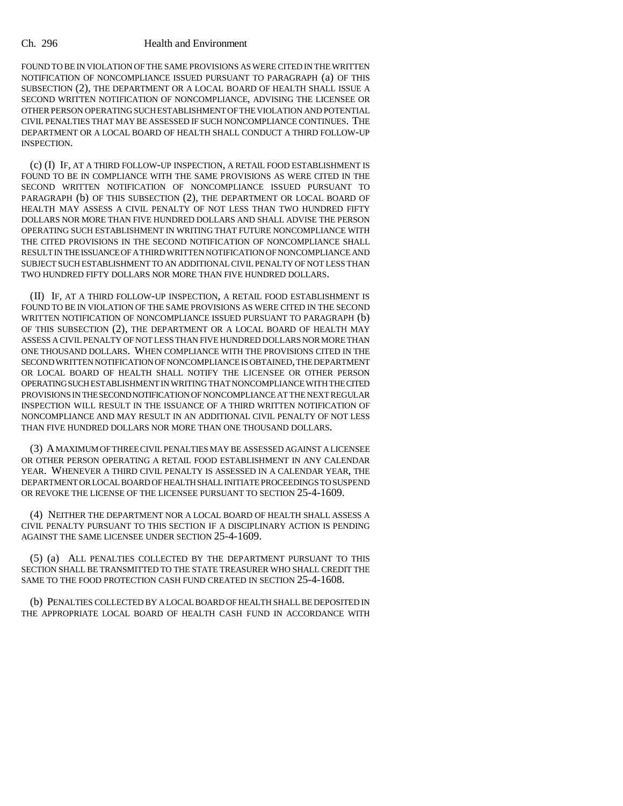#### Ch. 296 Health and Environment

FOUND TO BE IN VIOLATION OF THE SAME PROVISIONS AS WERE CITED IN THE WRITTEN NOTIFICATION OF NONCOMPLIANCE ISSUED PURSUANT TO PARAGRAPH (a) OF THIS SUBSECTION (2), THE DEPARTMENT OR A LOCAL BOARD OF HEALTH SHALL ISSUE A SECOND WRITTEN NOTIFICATION OF NONCOMPLIANCE, ADVISING THE LICENSEE OR OTHER PERSON OPERATING SUCH ESTABLISHMENT OF THE VIOLATION AND POTENTIAL CIVIL PENALTIES THAT MAY BE ASSESSED IF SUCH NONCOMPLIANCE CONTINUES. THE DEPARTMENT OR A LOCAL BOARD OF HEALTH SHALL CONDUCT A THIRD FOLLOW-UP INSPECTION.

(c) (I) IF, AT A THIRD FOLLOW-UP INSPECTION, A RETAIL FOOD ESTABLISHMENT IS FOUND TO BE IN COMPLIANCE WITH THE SAME PROVISIONS AS WERE CITED IN THE SECOND WRITTEN NOTIFICATION OF NONCOMPLIANCE ISSUED PURSUANT TO PARAGRAPH (b) OF THIS SUBSECTION (2), THE DEPARTMENT OR LOCAL BOARD OF HEALTH MAY ASSESS A CIVIL PENALTY OF NOT LESS THAN TWO HUNDRED FIFTY DOLLARS NOR MORE THAN FIVE HUNDRED DOLLARS AND SHALL ADVISE THE PERSON OPERATING SUCH ESTABLISHMENT IN WRITING THAT FUTURE NONCOMPLIANCE WITH THE CITED PROVISIONS IN THE SECOND NOTIFICATION OF NONCOMPLIANCE SHALL RESULT IN THE ISSUANCE OF A THIRD WRITTEN NOTIFICATION OF NONCOMPLIANCE AND SUBJECT SUCH ESTABLISHMENT TO AN ADDITIONAL CIVIL PENALTY OF NOT LESS THAN TWO HUNDRED FIFTY DOLLARS NOR MORE THAN FIVE HUNDRED DOLLARS.

(II) IF, AT A THIRD FOLLOW-UP INSPECTION, A RETAIL FOOD ESTABLISHMENT IS FOUND TO BE IN VIOLATION OF THE SAME PROVISIONS AS WERE CITED IN THE SECOND WRITTEN NOTIFICATION OF NONCOMPLIANCE ISSUED PURSUANT TO PARAGRAPH (b) OF THIS SUBSECTION (2), THE DEPARTMENT OR A LOCAL BOARD OF HEALTH MAY ASSESS A CIVIL PENALTY OF NOT LESS THAN FIVE HUNDRED DOLLARS NOR MORE THAN ONE THOUSAND DOLLARS. WHEN COMPLIANCE WITH THE PROVISIONS CITED IN THE SECOND WRITTEN NOTIFICATION OF NONCOMPLIANCE IS OBTAINED, THE DEPARTMENT OR LOCAL BOARD OF HEALTH SHALL NOTIFY THE LICENSEE OR OTHER PERSON OPERATING SUCH ESTABLISHMENT IN WRITING THAT NONCOMPLIANCE WITH THE CITED PROVISIONS IN THE SECOND NOTIFICATION OF NONCOMPLIANCE AT THE NEXT REGULAR INSPECTION WILL RESULT IN THE ISSUANCE OF A THIRD WRITTEN NOTIFICATION OF NONCOMPLIANCE AND MAY RESULT IN AN ADDITIONAL CIVIL PENALTY OF NOT LESS THAN FIVE HUNDRED DOLLARS NOR MORE THAN ONE THOUSAND DOLLARS.

(3) A MAXIMUM OF THREE CIVIL PENALTIES MAY BE ASSESSED AGAINST A LICENSEE OR OTHER PERSON OPERATING A RETAIL FOOD ESTABLISHMENT IN ANY CALENDAR YEAR. WHENEVER A THIRD CIVIL PENALTY IS ASSESSED IN A CALENDAR YEAR, THE DEPARTMENT OR LOCAL BOARD OF HEALTH SHALL INITIATE PROCEEDINGS TO SUSPEND OR REVOKE THE LICENSE OF THE LICENSEE PURSUANT TO SECTION 25-4-1609.

(4) NEITHER THE DEPARTMENT NOR A LOCAL BOARD OF HEALTH SHALL ASSESS A CIVIL PENALTY PURSUANT TO THIS SECTION IF A DISCIPLINARY ACTION IS PENDING AGAINST THE SAME LICENSEE UNDER SECTION 25-4-1609.

(5) (a) ALL PENALTIES COLLECTED BY THE DEPARTMENT PURSUANT TO THIS SECTION SHALL BE TRANSMITTED TO THE STATE TREASURER WHO SHALL CREDIT THE SAME TO THE FOOD PROTECTION CASH FUND CREATED IN SECTION 25-4-1608.

(b) PENALTIES COLLECTED BY A LOCAL BOARD OF HEALTH SHALL BE DEPOSITED IN THE APPROPRIATE LOCAL BOARD OF HEALTH CASH FUND IN ACCORDANCE WITH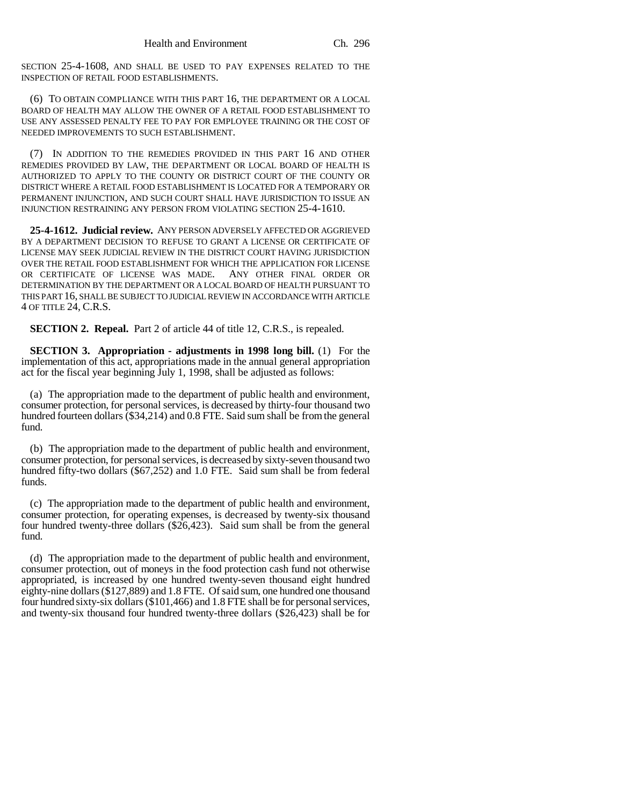SECTION 25-4-1608, AND SHALL BE USED TO PAY EXPENSES RELATED TO THE INSPECTION OF RETAIL FOOD ESTABLISHMENTS.

(6) TO OBTAIN COMPLIANCE WITH THIS PART 16, THE DEPARTMENT OR A LOCAL BOARD OF HEALTH MAY ALLOW THE OWNER OF A RETAIL FOOD ESTABLISHMENT TO USE ANY ASSESSED PENALTY FEE TO PAY FOR EMPLOYEE TRAINING OR THE COST OF NEEDED IMPROVEMENTS TO SUCH ESTABLISHMENT.

(7) IN ADDITION TO THE REMEDIES PROVIDED IN THIS PART 16 AND OTHER REMEDIES PROVIDED BY LAW, THE DEPARTMENT OR LOCAL BOARD OF HEALTH IS AUTHORIZED TO APPLY TO THE COUNTY OR DISTRICT COURT OF THE COUNTY OR DISTRICT WHERE A RETAIL FOOD ESTABLISHMENT IS LOCATED FOR A TEMPORARY OR PERMANENT INJUNCTION, AND SUCH COURT SHALL HAVE JURISDICTION TO ISSUE AN INJUNCTION RESTRAINING ANY PERSON FROM VIOLATING SECTION 25-4-1610.

**25-4-1612. Judicial review.** ANY PERSON ADVERSELY AFFECTED OR AGGRIEVED BY A DEPARTMENT DECISION TO REFUSE TO GRANT A LICENSE OR CERTIFICATE OF LICENSE MAY SEEK JUDICIAL REVIEW IN THE DISTRICT COURT HAVING JURISDICTION OVER THE RETAIL FOOD ESTABLISHMENT FOR WHICH THE APPLICATION FOR LICENSE OR CERTIFICATE OF LICENSE WAS MADE. ANY OTHER FINAL ORDER OR DETERMINATION BY THE DEPARTMENT OR A LOCAL BOARD OF HEALTH PURSUANT TO THIS PART 16, SHALL BE SUBJECT TO JUDICIAL REVIEW IN ACCORDANCE WITH ARTICLE 4 OF TITLE 24, C.R.S.

**SECTION 2. Repeal.** Part 2 of article 44 of title 12, C.R.S., is repealed.

**SECTION 3. Appropriation - adjustments in 1998 long bill.** (1) For the implementation of this act, appropriations made in the annual general appropriation act for the fiscal year beginning July 1, 1998, shall be adjusted as follows:

(a) The appropriation made to the department of public health and environment, consumer protection, for personal services, is decreased by thirty-four thousand two hundred fourteen dollars (\$34,214) and 0.8 FTE. Said sum shall be from the general fund.

(b) The appropriation made to the department of public health and environment, consumer protection, for personal services, is decreased by sixty-seven thousand two hundred fifty-two dollars (\$67,252) and 1.0 FTE. Said sum shall be from federal funds.

(c) The appropriation made to the department of public health and environment, consumer protection, for operating expenses, is decreased by twenty-six thousand four hundred twenty-three dollars (\$26,423). Said sum shall be from the general fund.

(d) The appropriation made to the department of public health and environment, consumer protection, out of moneys in the food protection cash fund not otherwise appropriated, is increased by one hundred twenty-seven thousand eight hundred eighty-nine dollars (\$127,889) and 1.8 FTE. Of said sum, one hundred one thousand four hundred sixty-six dollars (\$101,466) and 1.8 FTE shall be for personal services, and twenty-six thousand four hundred twenty-three dollars (\$26,423) shall be for